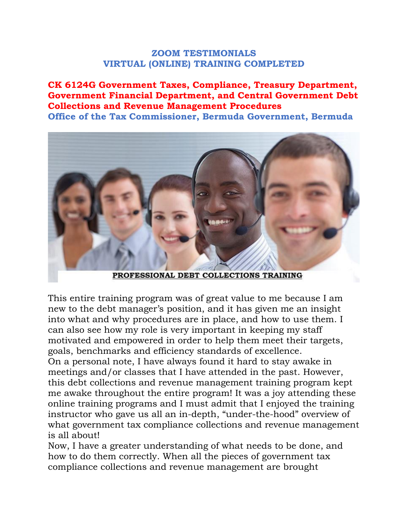#### **ZOOM TESTIMONIALS VIRTUAL (ONLINE) TRAINING COMPLETED**

**CK 6124G Government Taxes, Compliance, Treasury Department, Government Financial Department, and Central Government Debt Collections and Revenue Management Procedures Office of the Tax Commissioner, Bermuda Government, Bermuda**

PROFESSIONAL DEBT COLLECTIONS TRAINING

This entire training program was of great value to me because I am new to the debt manager's position, and it has given me an insight into what and why procedures are in place, and how to use them. I can also see how my role is very important in keeping my staff motivated and empowered in order to help them meet their targets, goals, benchmarks and efficiency standards of excellence.

On a personal note, I have always found it hard to stay awake in meetings and/or classes that I have attended in the past. However, this debt collections and revenue management training program kept me awake throughout the entire program! It was a joy attending these online training programs and I must admit that I enjoyed the training instructor who gave us all an in-depth, "under-the-hood" overview of what government tax compliance collections and revenue management is all about!

Now, I have a greater understanding of what needs to be done, and how to do them correctly. When all the pieces of government tax compliance collections and revenue management are brought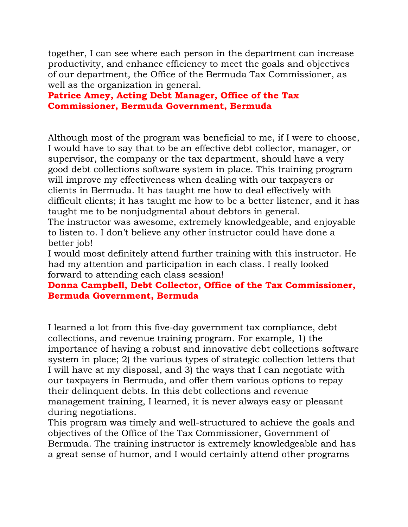together, I can see where each person in the department can increase productivity, and enhance efficiency to meet the goals and objectives of our department, the Office of the Bermuda Tax Commissioner, as well as the organization in general.

## **Patrice Amey, Acting Debt Manager, Office of the Tax Commissioner, Bermuda Government, Bermuda**

Although most of the program was beneficial to me, if I were to choose, I would have to say that to be an effective debt collector, manager, or supervisor, the company or the tax department, should have a very good debt collections software system in place. This training program will improve my effectiveness when dealing with our taxpayers or clients in Bermuda. It has taught me how to deal effectively with difficult clients; it has taught me how to be a better listener, and it has taught me to be nonjudgmental about debtors in general.

The instructor was awesome, extremely knowledgeable, and enjoyable to listen to. I don't believe any other instructor could have done a better job!

I would most definitely attend further training with this instructor. He had my attention and participation in each class. I really looked forward to attending each class session!

## **Donna Campbell, Debt Collector, Office of the Tax Commissioner, Bermuda Government, Bermuda**

I learned a lot from this five-day government tax compliance, debt collections, and revenue training program. For example, 1) the importance of having a robust and innovative debt collections software system in place; 2) the various types of strategic collection letters that I will have at my disposal, and 3) the ways that I can negotiate with our taxpayers in Bermuda, and offer them various options to repay their delinquent debts. In this debt collections and revenue management training, I learned, it is never always easy or pleasant during negotiations.

This program was timely and well-structured to achieve the goals and objectives of the Office of the Tax Commissioner, Government of Bermuda. The training instructor is extremely knowledgeable and has a great sense of humor, and I would certainly attend other programs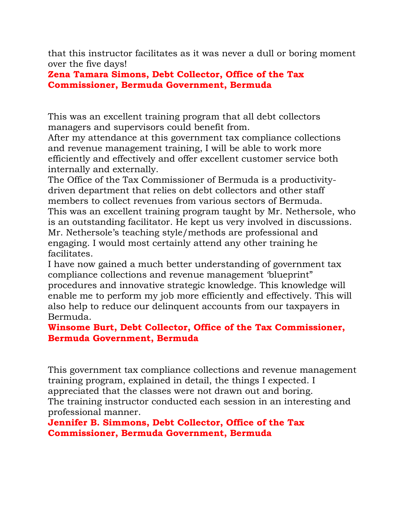that this instructor facilitates as it was never a dull or boring moment over the five days!

**Zena Tamara Simons, Debt Collector, Office of the Tax Commissioner, Bermuda Government, Bermuda**

This was an excellent training program that all debt collectors managers and supervisors could benefit from.

After my attendance at this government tax compliance collections and revenue management training, I will be able to work more efficiently and effectively and offer excellent customer service both internally and externally.

The Office of the Tax Commissioner of Bermuda is a productivitydriven department that relies on debt collectors and other staff members to collect revenues from various sectors of Bermuda. This was an excellent training program taught by Mr. Nethersole, who is an outstanding facilitator. He kept us very involved in discussions. Mr. Nethersole's teaching style/methods are professional and engaging. I would most certainly attend any other training he facilitates.

I have now gained a much better understanding of government tax compliance collections and revenue management 'blueprint" procedures and innovative strategic knowledge. This knowledge will enable me to perform my job more efficiently and effectively. This will also help to reduce our delinquent accounts from our taxpayers in Bermuda.

# **Winsome Burt, Debt Collector, Office of the Tax Commissioner, Bermuda Government, Bermuda**

This government tax compliance collections and revenue management training program, explained in detail, the things I expected. I appreciated that the classes were not drawn out and boring. The training instructor conducted each session in an interesting and professional manner.

### **Jennifer B. Simmons, Debt Collector, Office of the Tax Commissioner, Bermuda Government, Bermuda**